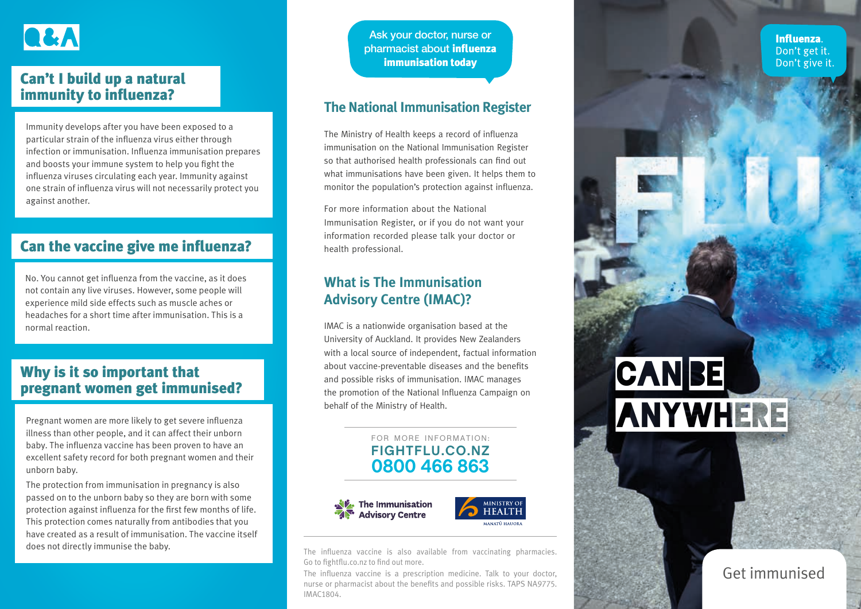

#### Can't I build up a natural immunity to influenza?

Immunity develops after you have been exposed to a particular strain of the influenza virus either through infection or immunisation. Influenza immunisation prepares and boosts your immune system to help you fight the influenza viruses circulating each year. Immunity against one strain of influenza virus will not necessarily protect you against another.

#### Can the vaccine give me influenza?

No. You cannot get influenza from the vaccine, as it does not contain any live viruses. However, some people will experience mild side effects such as muscle aches or headaches for a short time after immunisation. This is a normal reaction.

#### Why is it so important that pregnant women get immunised?

Pregnant women are more likely to get severe influenza illness than other people, and it can affect their unborn baby. The influenza vaccine has been proven to have an excellent safety record for both pregnant women and their unborn baby.

The protection from immunisation in pregnancy is also passed on to the unborn baby so they are born with some protection against influenza for the first few months of life. This protection comes naturally from antibodies that you have created as a result of immunisation. The vaccine itself does not directly immunise the baby.

Ask your doctor, nurse or pharmacist about influenza immunisation today

#### **The National Immunisation Register**

The Ministry of Health keeps a record of influenza immunisation on the National Immunisation Register so that authorised health professionals can find out what immunisations have been given. It helps them to monitor the population's protection against influenza.

For more information about the National Immunisation Register, or if you do not want your information recorded please talk your doctor or health professional.

#### **What is The Immunisation Advisory Centre (IMAC)?**

IMAC is a nationwide organisation based at the University of Auckland. It provides New Zealanders with a local source of independent, factual information about vaccine-preventable diseases and the benefits and possible risks of immunisation. IMAC manages the promotion of the National Influenza Campaign on behalf of the Ministry of Health.

#### FOR MORE INFORMATION: **FIGHTFLU.CO.NZ 0800 466 863**





The influenza vaccine is also available from vaccinating pharmacies. Go to fightflu.co.nz to find out more.

The influenza vaccine is a prescription medicine. Talk to your doctor, nurse or pharmacist about the benefits and possible risks. TAPS NA9775. IMAC1804.

Influenza Don't get it. Don't give it.

Get immunised

**CANBE** 

**ANYWHERE**